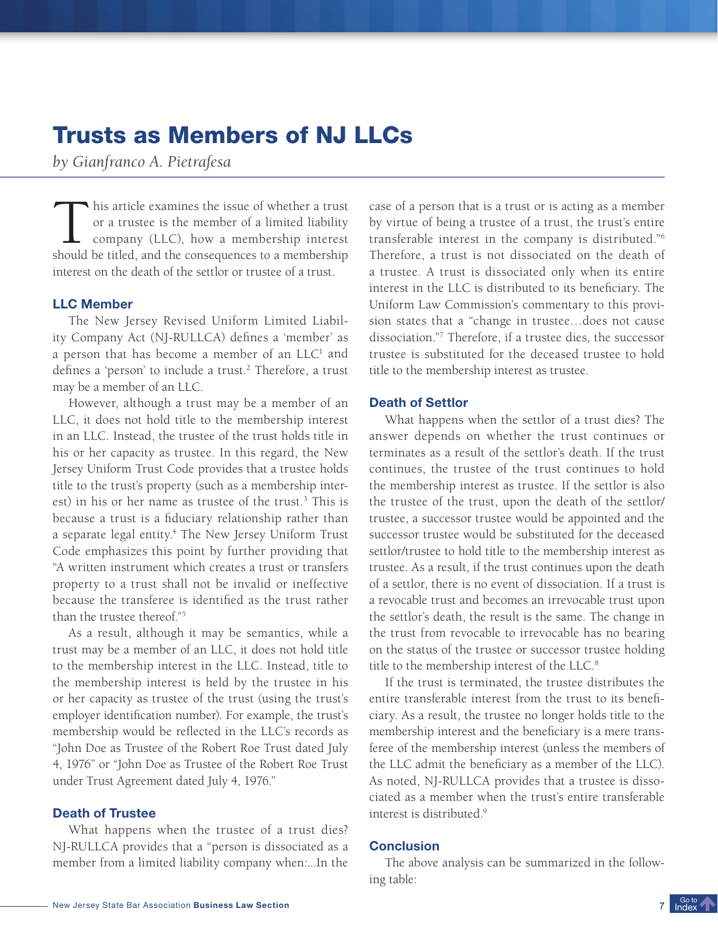# Trusts as Members of NJ LLCs

*by Gianfranco A. Pietrafesa*

This article examines the issue of whether a trust<br>or a trustee is the member of a limited liability<br>company (LLC), how a membership interest<br>should be titled, and the consequences to a membership his article examines the issue of whether a trust or a trustee is the member of a limited liability company (LLC), how a membership interest interest on the death of the settlor or trustee of a trust.

## LLC Member

The New Jersey Revised Uniform Limited Liability Company Act (NJ-RULLCA) defines a 'member' as a person that has become a member of an  $LLC<sup>1</sup>$  and defines a 'person' to include a trust.<sup>2</sup> Therefore, a trust may be a member of an LLC.

However, although a trust may be a member of an LLC, it does not hold title to the membership interest in an LLC. Instead, the trustee of the trust holds title in his or her capacity as trustee. In this regard, the New Jersey Uniform Trust Code provides that a trustee holds title to the trust's property (such as a membership interest) in his or her name as trustee of the trust.<sup>3</sup> This is because a trust is a fiduciary relationship rather than a separate legal entity.<sup>4</sup> The New Jersey Uniform Trust Code emphasizes this point by further providing that "A written instrument which creates a trust or transfers property to a trust shall not be invalid or ineffective because the transferee is identified as the trust rather than the trustee thereof."<sup>5</sup>

As a result, although it may be semantics, while a trust may be a member of an LLC, it does not hold title to the membership interest in the LLC. Instead, title to the membership interest is held by the trustee in his or her capacity as trustee of the trust (using the trust's employer identification number). For example, the trust's membership would be reflected in the LLC's records as "John Doe as Trustee of the Robert Roe Trust dated July 4, 1976" or "John Doe as Trustee of the Robert Roe Trust under Trust Agreement dated July 4, 1976."

### Death of Trustee

What happens when the trustee of a trust dies? NJ-RULLCA provides that a "person is dissociated as a member from a limited liability company when:...In the

case of a person that is a trust or is acting as a member by virtue of being a trustee of a trust, the trust's entire transferable interest in the company is distributed."<sup>6</sup> Therefore, a trust is not dissociated on the death of a trustee. A trust is dissociated only when its entire interest in the LLC is distributed to its beneficiary. The Uniform Law Commission's commentary to this provision states that a "change in trustee…does not cause dissociation."<sup>7</sup> Therefore, if a trustee dies, the successor trustee is substituted for the deceased trustee to hold title to the membership interest as trustee.

#### Death of Settlor

What happens when the settlor of a trust dies? The answer depends on whether the trust continues or terminates as a result of the settlor's death. If the trust continues, the trustee of the trust continues to hold the membership interest as trustee. If the settlor is also the trustee of the trust, upon the death of the settlor/ trustee, a successor trustee would be appointed and the successor trustee would be substituted for the deceased settlor/trustee to hold title to the membership interest as trustee. As a result, if the trust continues upon the death of a settlor, there is no event of dissociation. If a trust is a revocable trust and becomes an irrevocable trust upon the settlor's death, the result is the same. The change in the trust from revocable to irrevocable has no bearing on the status of the trustee or successor trustee holding title to the membership interest of the LLC.<sup>8</sup>

If the trust is terminated, the trustee distributes the entire transferable interest from the trust to its beneficiary. As a result, the trustee no longer holds title to the membership interest and the beneficiary is a mere transferee of the membership interest (unless the members of the LLC admit the beneficiary as a member of the LLC). As noted, NJ-RULLCA provides that a trustee is dissociated as a member when the trust's entire transferable interest is distributed.<sup>9</sup>

#### **Conclusion**

The above analysis can be summarized in the following table:

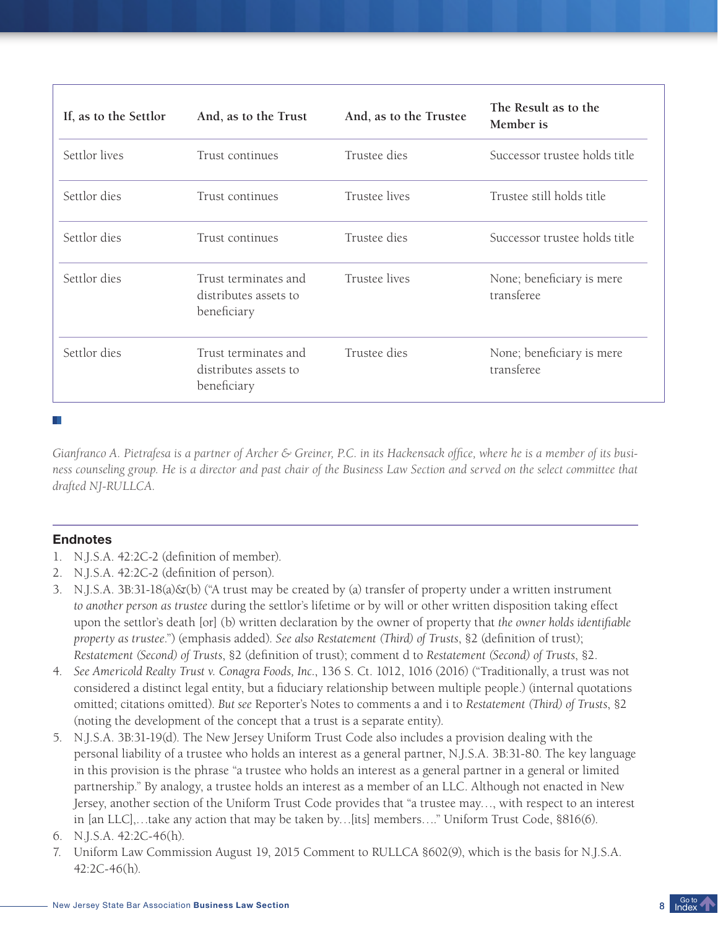| If, as to the Settlor | And, as to the Trust                                         | And, as to the Trustee | The Result as to the<br>Member is       |
|-----------------------|--------------------------------------------------------------|------------------------|-----------------------------------------|
| Settlor lives         | Trust continues                                              | Trustee dies           | Successor trustee holds title           |
| Settlor dies          | Trust continues                                              | Trustee lives          | Trustee still holds title               |
| Settlor dies          | Trust continues                                              | Trustee dies           | Successor trustee holds title           |
| Settlor dies          | Trust terminates and<br>distributes assets to<br>beneficiary | Trustee lives          | None; beneficiary is mere<br>transferee |
| Settlor dies          | Trust terminates and<br>distributes assets to<br>beneficiary | Trustee dies           | None; beneficiary is mere<br>transferee |

H.

*Gianfranco A. Pietrafesa is a partner of Archer & Greiner, P.C. in its Hackensack office, where he is a member of its business counseling group. He is a director and past chair of the Business Law Section and served on the select committee that drafted NJ-RULLCA.* 

# Endnotes

- 1. N.J.S.A. 42:2C-2 (definition of member).
- 2. N.J.S.A. 42:2C-2 (definition of person).
- 3. N.J.S.A. 3B:31-18(a)&(b) ("A trust may be created by (a) transfer of property under a written instrument *to another person as trustee* during the settlor's lifetime or by will or other written disposition taking effect upon the settlor's death [or] (b) written declaration by the owner of property that *the owner holds identifiable property as trustee*.") (emphasis added). *See also Restatement (Third) of Trusts*, §2 (definition of trust); *Restatement (Second) of Trusts*, §2 (definition of trust); comment d to *Restatement (Second) of Trusts*, §2.
- 4. *See Americold Realty Trust v. Conagra Foods, Inc.*, 136 S. Ct. 1012, 1016 (2016) ("Traditionally, a trust was not considered a distinct legal entity, but a fiduciary relationship between multiple people.) (internal quotations omitted; citations omitted). *But see* Reporter's Notes to comments a and i to *Restatement (Third) of Trusts*, §2 (noting the development of the concept that a trust is a separate entity).
- 5. N.J.S.A. 3B:31-19(d). The New Jersey Uniform Trust Code also includes a provision dealing with the personal liability of a trustee who holds an interest as a general partner, N.J.S.A. 3B:31-80. The key language in this provision is the phrase "a trustee who holds an interest as a general partner in a general or limited partnership." By analogy, a trustee holds an interest as a member of an LLC. Although not enacted in New Jersey, another section of the Uniform Trust Code provides that "a trustee may…, with respect to an interest in [an LLC],…take any action that may be taken by…[its] members…." Uniform Trust Code, §816(6).
- 6. N.J.S.A. 42:2C-46(h).
- 7. Uniform Law Commission August 19, 2015 Comment to RULLCA §602(9), which is the basis for N.J.S.A. 42:2C-46(h).